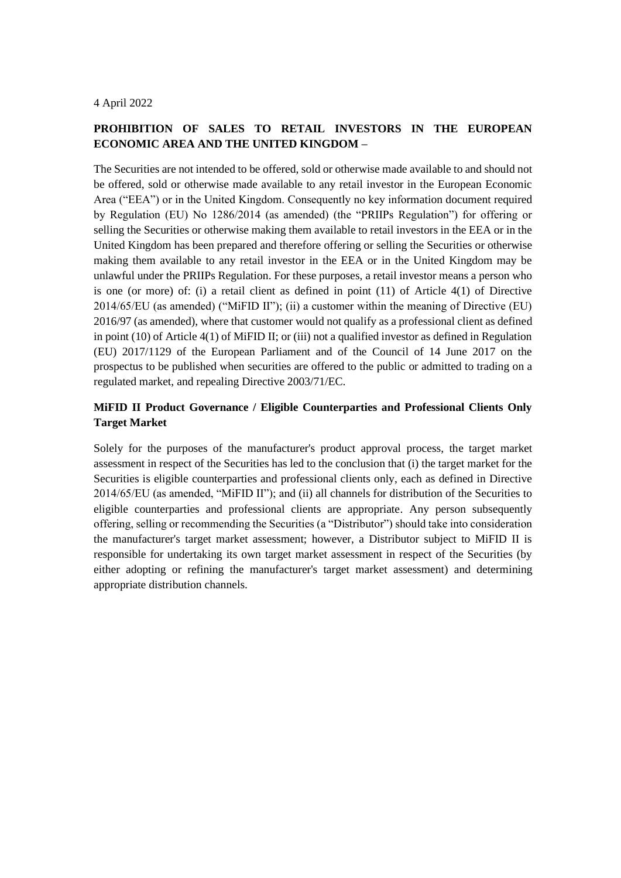### 4 April 2022

# **PROHIBITION OF SALES TO RETAIL INVESTORS IN THE EUROPEAN ECONOMIC AREA AND THE UNITED KINGDOM –**

The Securities are not intended to be offered, sold or otherwise made available to and should not be offered, sold or otherwise made available to any retail investor in the European Economic Area ("EEA") or in the United Kingdom. Consequently no key information document required by Regulation (EU) No 1286/2014 (as amended) (the "PRIIPs Regulation") for offering or selling the Securities or otherwise making them available to retail investors in the EEA or in the United Kingdom has been prepared and therefore offering or selling the Securities or otherwise making them available to any retail investor in the EEA or in the United Kingdom may be unlawful under the PRIIPs Regulation. For these purposes, a retail investor means a person who is one (or more) of: (i) a retail client as defined in point (11) of Article 4(1) of Directive 2014/65/EU (as amended) ("MiFID II"); (ii) a customer within the meaning of Directive (EU) 2016/97 (as amended), where that customer would not qualify as a professional client as defined in point (10) of Article 4(1) of MiFID II; or (iii) not a qualified investor as defined in Regulation (EU) 2017/1129 of the European Parliament and of the Council of 14 June 2017 on the prospectus to be published when securities are offered to the public or admitted to trading on a regulated market, and repealing Directive 2003/71/EC.

## **MiFID II Product Governance / Eligible Counterparties and Professional Clients Only Target Market**

Solely for the purposes of the manufacturer's product approval process, the target market assessment in respect of the Securities has led to the conclusion that (i) the target market for the Securities is eligible counterparties and professional clients only, each as defined in Directive 2014/65/EU (as amended, "MiFID II"); and (ii) all channels for distribution of the Securities to eligible counterparties and professional clients are appropriate. Any person subsequently offering, selling or recommending the Securities (a "Distributor") should take into consideration the manufacturer's target market assessment; however, a Distributor subject to MiFID II is responsible for undertaking its own target market assessment in respect of the Securities (by either adopting or refining the manufacturer's target market assessment) and determining appropriate distribution channels.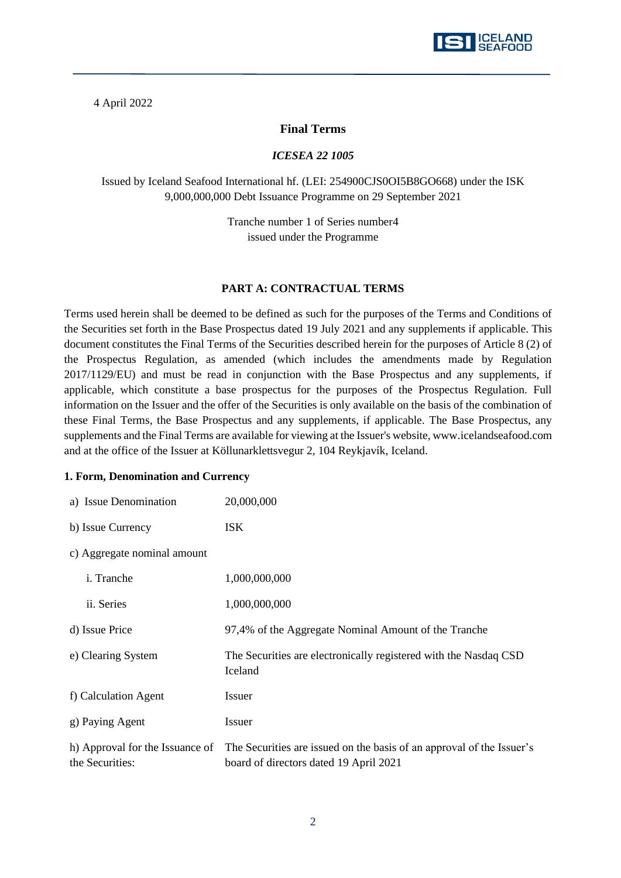

### 4 April 2022

### **Final Terms**

#### *ICESEA 22 1005*

Issued by Iceland Seafood International hf. (LEI: 254900CJS0OI5B8GO668) under the ISK 9,000,000,000 Debt Issuance Programme on 29 September 2021

> Tranche number 1 of Series number4 issued under the Programme

#### **PART A: CONTRACTUAL TERMS**

Terms used herein shall be deemed to be defined as such for the purposes of the Terms and Conditions of the Securities set forth in the Base Prospectus dated 19 July 2021 and any supplements if applicable. This document constitutes the Final Terms of the Securities described herein for the purposes of Article 8 (2) of the Prospectus Regulation, as amended (which includes the amendments made by Regulation 2017/1129/EU) and must be read in conjunction with the Base Prospectus and any supplements, if applicable, which constitute a base prospectus for the purposes of the Prospectus Regulation. Full information on the Issuer and the offer of the Securities is only available on the basis of the combination of these Final Terms, the Base Prospectus and any supplements, if applicable. The Base Prospectus, any supplements and the Final Terms are available for viewing at the Issuer's website, www.icelandseafood.com and at the office of the Issuer at Köllunarklettsvegur 2, 104 Reykjavík, Iceland.

#### **1. Form, Denomination and Currency**

| a) Issue Denomination                              | 20,000,000                                                                                                      |
|----------------------------------------------------|-----------------------------------------------------------------------------------------------------------------|
| b) Issue Currency                                  | <b>ISK</b>                                                                                                      |
| c) Aggregate nominal amount                        |                                                                                                                 |
| <i>i</i> . Tranche                                 | 1,000,000,000                                                                                                   |
| ii. Series                                         | 1,000,000,000                                                                                                   |
| d) Issue Price                                     | 97,4% of the Aggregate Nominal Amount of the Tranche                                                            |
| e) Clearing System                                 | The Securities are electronically registered with the Nasdaq CSD<br>Iceland                                     |
| f) Calculation Agent                               | Issuer                                                                                                          |
| g) Paying Agent                                    | <b>Issuer</b>                                                                                                   |
| h) Approval for the Issuance of<br>the Securities: | The Securities are issued on the basis of an approval of the Issuer's<br>board of directors dated 19 April 2021 |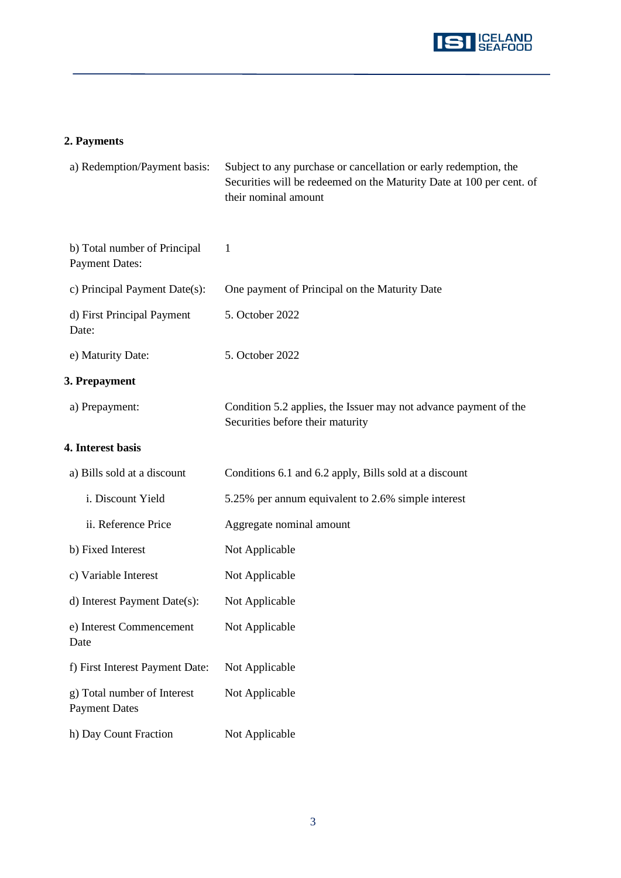

# **2. Payments**

| a) Redemption/Payment basis:                          | Subject to any purchase or cancellation or early redemption, the<br>Securities will be redeemed on the Maturity Date at 100 per cent. of<br>their nominal amount |
|-------------------------------------------------------|------------------------------------------------------------------------------------------------------------------------------------------------------------------|
| b) Total number of Principal<br><b>Payment Dates:</b> | 1                                                                                                                                                                |
| c) Principal Payment Date(s):                         | One payment of Principal on the Maturity Date                                                                                                                    |
| d) First Principal Payment<br>Date:                   | 5. October 2022                                                                                                                                                  |
| e) Maturity Date:                                     | 5. October 2022                                                                                                                                                  |
| 3. Prepayment                                         |                                                                                                                                                                  |
| a) Prepayment:                                        | Condition 5.2 applies, the Issuer may not advance payment of the<br>Securities before their maturity                                                             |
| 4. Interest basis                                     |                                                                                                                                                                  |
| a) Bills sold at a discount                           | Conditions 6.1 and 6.2 apply, Bills sold at a discount                                                                                                           |
| i. Discount Yield                                     | 5.25% per annum equivalent to 2.6% simple interest                                                                                                               |
| ii. Reference Price                                   | Aggregate nominal amount                                                                                                                                         |
| b) Fixed Interest                                     | Not Applicable                                                                                                                                                   |
| c) Variable Interest                                  | Not Applicable                                                                                                                                                   |
| d) Interest Payment Date(s):                          | Not Applicable                                                                                                                                                   |
| e) Interest Commencement<br>Date                      | Not Applicable                                                                                                                                                   |
| f) First Interest Payment Date:                       | Not Applicable                                                                                                                                                   |
| g) Total number of Interest<br><b>Payment Dates</b>   | Not Applicable                                                                                                                                                   |
| h) Day Count Fraction                                 | Not Applicable                                                                                                                                                   |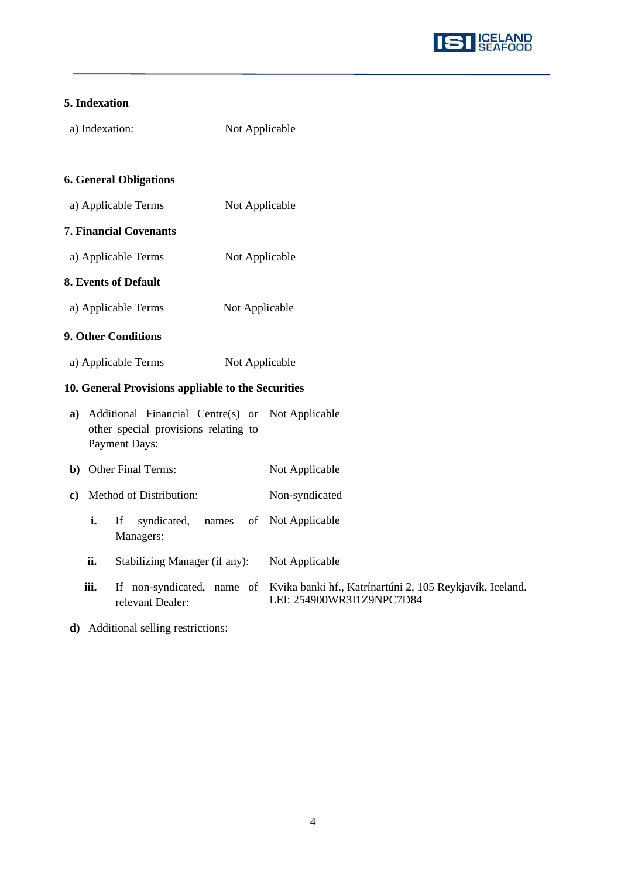

## **5. Indexation**

| a) Indexation: | Not Applicable |
|----------------|----------------|
|                |                |

# **6. General Obligations**

- a) Applicable Terms Not Applicable
- **7. Financial Covenants**
- a) Applicable Terms Not Applicable

# **8. Events of Default**

a) Applicable Terms Not Applicable

### **9. Other Conditions**

a) Applicable Terms Not Applicable

## **10. General Provisions appliable to the Securities**

| a) Additional Financial Centre(s) or Not Applicable |                |
|-----------------------------------------------------|----------------|
| other special provisions relating to                |                |
| Payment Days:                                       |                |
| <b>b</b> ) Other Final Terms:                       | Not Applicable |

- **c)** Method of Distribution: Non-syndicated
	- **i.** If syndicated, names Managers: of Not Applicable
	- ii. Stabilizing Manager (if any): Not Applicable
	- **iii.** If non-syndicated, name of Kvika banki hf., Katrínartúni 2, 105 Reykjavík, Iceland. relevant Dealer: LEI: 254900WR3I1Z9NPC7D84
- **d)** Additional selling restrictions: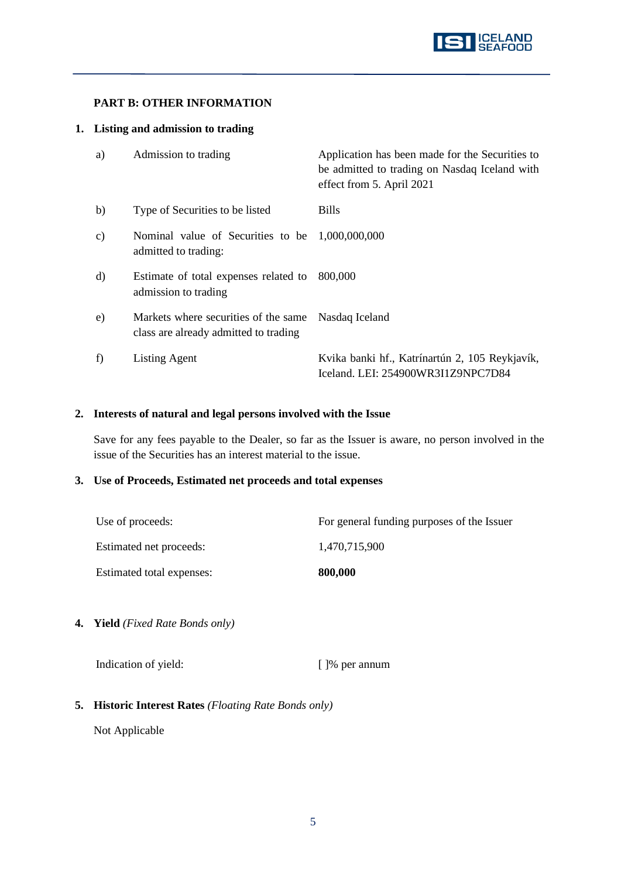## **PART B: OTHER INFORMATION**

### **1. Listing and admission to trading**

| a) | Admission to trading                                                          | Application has been made for the Securities to<br>be admitted to trading on Nasdaq Iceland with<br>effect from 5. April 2021 |
|----|-------------------------------------------------------------------------------|-------------------------------------------------------------------------------------------------------------------------------|
| b) | Type of Securities to be listed                                               | <b>Bills</b>                                                                                                                  |
| c) | Nominal value of Securities to be 1,000,000,000<br>admitted to trading:       |                                                                                                                               |
| d) | Estimate of total expenses related to<br>admission to trading                 | 800,000                                                                                                                       |
| e) | Markets where securities of the same<br>class are already admitted to trading | Nasdaq Iceland                                                                                                                |
| f) | <b>Listing Agent</b>                                                          | Kvika banki hf., Katrínartún 2, 105 Reykjavík,<br>Iceland. LEI: 254900WR3I1Z9NPC7D84                                          |

### **2. Interests of natural and legal persons involved with the Issue**

Save for any fees payable to the Dealer, so far as the Issuer is aware, no person involved in the issue of the Securities has an interest material to the issue.

### **3. Use of Proceeds, Estimated net proceeds and total expenses**

| Use of proceeds:          | For general funding purposes of the Issuer |
|---------------------------|--------------------------------------------|
| Estimated net proceeds:   | 1.470.715.900                              |
| Estimated total expenses: | 800,000                                    |

**4. Yield** *(Fixed Rate Bonds only)*

Indication of yield: [ ]% per annum

**5. Historic Interest Rates** *(Floating Rate Bonds only)*

Not Applicable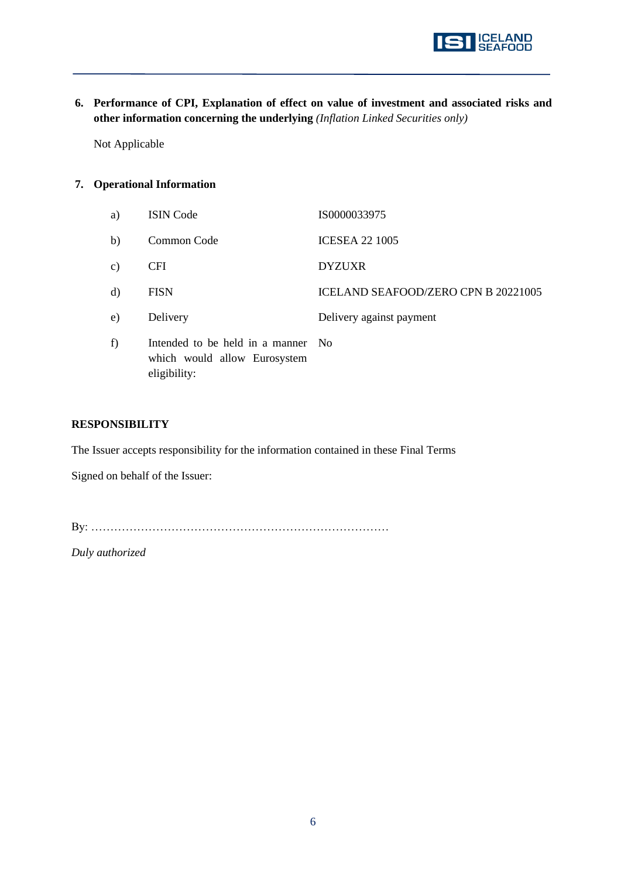

**6. Performance of CPI, Explanation of effect on value of investment and associated risks and other information concerning the underlying** *(Inflation Linked Securities only)*

Not Applicable

### **7. Operational Information**

| a)            | <b>ISIN</b> Code                                                                   | IS0000033975                               |
|---------------|------------------------------------------------------------------------------------|--------------------------------------------|
| b)            | Common Code                                                                        | <b>ICESEA 22 1005</b>                      |
| $\mathbf{c})$ | <b>CFI</b>                                                                         | <b>DYZUXR</b>                              |
| $\mathbf{d}$  | <b>FISN</b>                                                                        | <b>ICELAND SEAFOOD/ZERO CPN B 20221005</b> |
| e)            | Delivery                                                                           | Delivery against payment                   |
| f)            | Intended to be held in a manner No<br>which would allow Eurosystem<br>eligibility: |                                            |

### **RESPONSIBILITY**

The Issuer accepts responsibility for the information contained in these Final Terms

Signed on behalf of the Issuer:

By: ……………………………………………………………………

*Duly authorized*